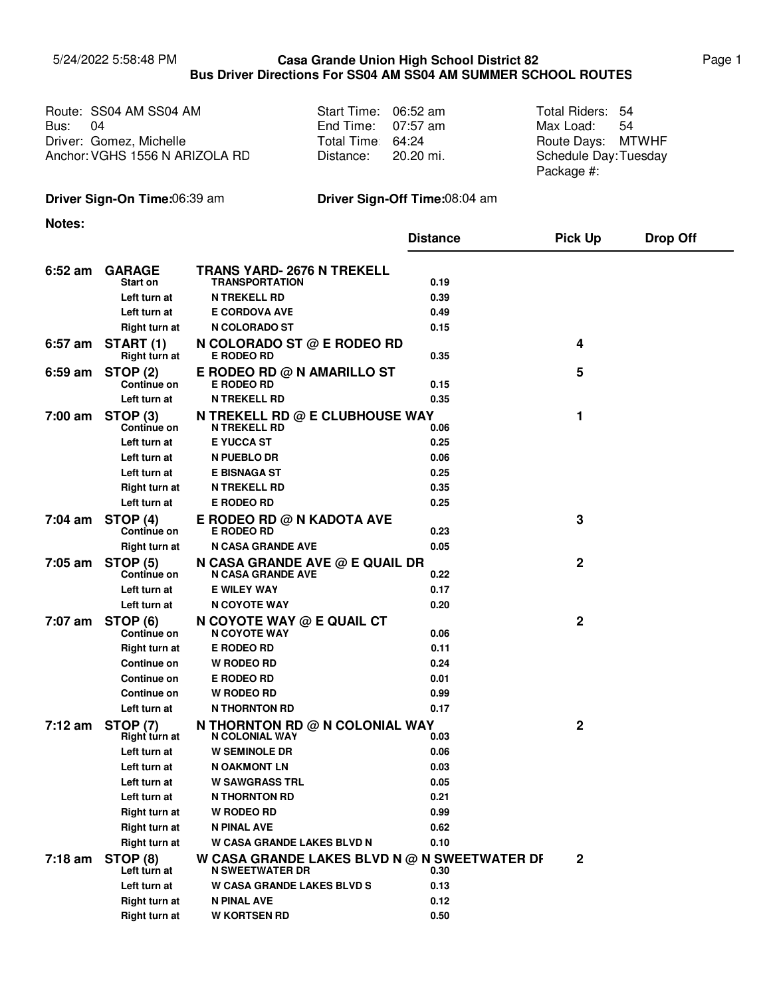## 5/24/2022 5:58:48 PM Page 1 **Casa Grande Union High School District 82 Bus Driver Directions For SS04 AM SS04 AM SUMMER SCHOOL ROUTES**

|                | Route: SS04 AM SS04 AM         | Start Time: 06:52 am | Total Riders: 54     |  |
|----------------|--------------------------------|----------------------|----------------------|--|
| <b>Bus: 04</b> |                                | End Time: $07:57$ am | Max Load: 54         |  |
|                | Driver: Gomez, Michelle        | Total Time 64:24     | Route Days: MTWHF    |  |
|                | Anchor: VGHS 1556 N ARIZOLA RD | Distance: 20.20 mi.  | Schedule Day:Tuesday |  |
|                |                                |                      | Package #:           |  |

## **Driver Sign-On Time:**06:39 am **Driver Sign-Off Time:**08:04 am

**Notes:**

|           |                                    |                                                                        | <b>Distance</b> | <b>Pick Up</b> | <b>Drop Off</b> |
|-----------|------------------------------------|------------------------------------------------------------------------|-----------------|----------------|-----------------|
| $6:52$ am | <b>GARAGE</b>                      | TRANS YARD- 2676 N TREKELL                                             |                 |                |                 |
|           | Start on                           | <b>TRANSPORTATION</b>                                                  | 0.19            |                |                 |
|           | Left turn at                       | <b>N TREKELL RD</b>                                                    | 0.39            |                |                 |
|           | Left turn at                       | <b>E CORDOVA AVE</b>                                                   | 0.49            |                |                 |
|           | Right turn at                      | N COLORADO ST                                                          | 0.15            |                |                 |
| $6:57$ am | START (1)<br><b>Right turn at</b>  | N COLORADO ST $@$ E RODEO RD<br><b>E RODEO RD</b>                      | 0.35            | 4              |                 |
| 6:59 am   | STOP (2)<br><b>Continue on</b>     | E RODEO RD @ N AMARILLO ST<br><b>E RODEO RD</b>                        | 0.15            | 5              |                 |
|           | Left turn at                       | <b>N TREKELL RD</b>                                                    | 0.35            |                |                 |
| 7:00 am   | STOP <sub>(3)</sub><br>Continue on | N TREKELL RD @ E CLUBHOUSE WAY<br><b>N TREKELL RD</b>                  | 0.06            | 1              |                 |
|           | Left turn at                       | <b>E YUCCA ST</b>                                                      | 0.25            |                |                 |
|           | Left turn at                       | N PUEBLO DR                                                            | 0.06            |                |                 |
|           | Left turn at                       | <b>E BISNAGA ST</b>                                                    | 0.25            |                |                 |
|           | <b>Right turn at</b>               | <b>N TREKELL RD</b>                                                    | 0.35            |                |                 |
|           | Left turn at                       | <b>E RODEO RD</b>                                                      | 0.25            |                |                 |
| 7:04 am   | STOP (4)<br>Continue on            | E RODEO RD @ N KADOTA AVE<br><b>E RODEO RD</b>                         | 0.23            | 3              |                 |
|           | Right turn at                      | <b>N CASA GRANDE AVE</b>                                               | 0.05            |                |                 |
| $7:05$ am | <b>STOP (5)</b><br>Continue on     | N CASA GRANDE AVE @ E QUAIL DR<br><b>N CASA GRANDE AVE</b>             | 0.22            | 2              |                 |
|           | Left turn at                       | <b>E WILEY WAY</b>                                                     | 0.17            |                |                 |
|           | Left turn at                       | N COYOTE WAY                                                           | 0.20            |                |                 |
| 7:07 am   | STOP <sub>(6)</sub><br>Continue on | N COYOTE WAY $@$ E QUAIL CT<br>N COYOTE WAY                            | 0.06            | 2              |                 |
|           | <b>Right turn at</b>               | <b>E RODEO RD</b>                                                      | 0.11            |                |                 |
|           | Continue on                        | <b>W RODEO RD</b>                                                      | 0.24            |                |                 |
|           | <b>Continue on</b>                 | <b>E RODEO RD</b>                                                      | 0.01            |                |                 |
|           | Continue on                        | <b>W RODEO RD</b>                                                      | 0.99            |                |                 |
|           | Left turn at                       | <b>N THORNTON RD</b>                                                   | 0.17            |                |                 |
| $7:12$ am | <b>STOP (7)</b><br>Right turn at   | N THORNTON RD @ N COLONIAL WAY<br><b>N COLONIAL WAY</b>                | 0.03            | 2              |                 |
|           | Left turn at                       | <b>W SEMINOLE DR</b>                                                   | 0.06            |                |                 |
|           | Left turn at                       | <b>N OAKMONT LN</b>                                                    | 0.03            |                |                 |
|           | Left turn at                       | <b>W SAWGRASS TRL</b>                                                  | 0.05            |                |                 |
|           | Left turn at                       | <b>N THORNTON RD</b>                                                   | 0.21            |                |                 |
|           | <b>Right turn at</b>               | <b>W RODEO RD</b>                                                      | 0.99            |                |                 |
|           | <b>Right turn at</b>               | <b>N PINAL AVE</b>                                                     | 0.62            |                |                 |
|           | <b>Right turn at</b>               | W CASA GRANDE LAKES BLVD N                                             | 0.10            |                |                 |
| $7:18$ am | STOP (8)<br>Left turn at           | W CASA GRANDE LAKES BLVD N @ N SWEETWATER DF<br><b>N SWEETWATER DR</b> | 0.30            | $\mathbf{2}$   |                 |
|           | Left turn at                       | <b>W CASA GRANDE LAKES BLVD S</b>                                      | 0.13            |                |                 |
|           | Right turn at                      | N PINAL AVE                                                            | 0.12            |                |                 |
|           | Right turn at                      | <b>W KORTSEN RD</b>                                                    | 0.50            |                |                 |